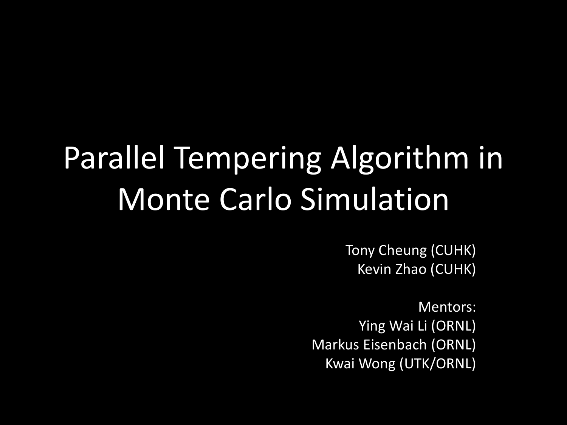# Parallel Tempering Algorithm in Monte Carlo Simulation

Tony Cheung (CUHK) Kevin Zhao (CUHK)

Mentors: Ying Wai Li (ORNL) Markus Eisenbach (ORNL) Kwai Wong (UTK/ORNL)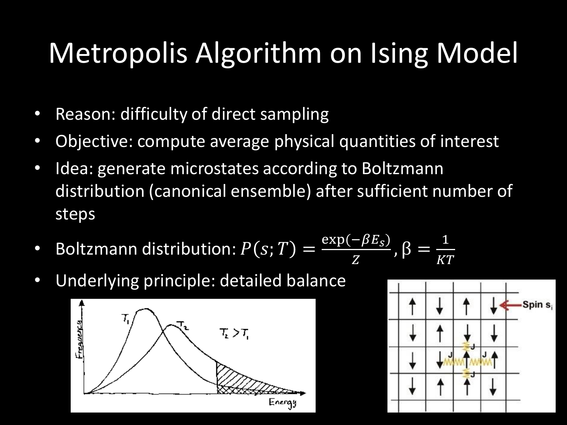### Metropolis Algorithm on Ising Model

- Reason: difficulty of direct sampling
- Objective: compute average physical quantities of interest
- Idea: generate microstates according to Boltzmann distribution (canonical ensemble) after sufficient number of steps
- Boltzmann distribution:  $P(s; T) =$  $\exp(-\beta E_S)$  $\overline{Z}$  $,\beta =$ 1 KT
- Underlying principle: detailed balance



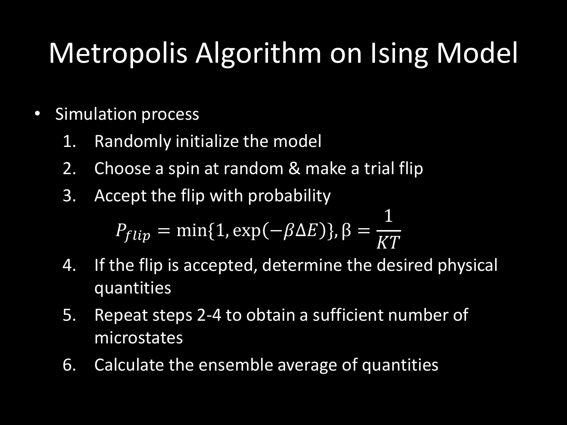## Metropolis Algorithm on Ising Model

- Simulation process
	- 1. Randomly initialize the model
	- 2. Choose a spin at random & make a trial flip
	- 3. Accept the flip with probability

$$
P_{flip} = \min\{1, \exp(-\beta \Delta E)\}, \beta = \frac{1}{KT}
$$

- 4. If the flip is accepted, determine the desired physical quantities
- 5. Repeat steps 2-4 to obtain a sufficient number of microstates
- 6. Calculate the ensemble average of quantities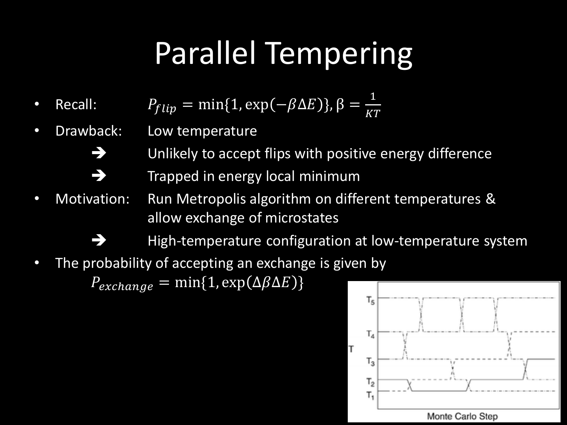## Parallel Tempering

- Recall:  $P_{flip} = \min\{1, \exp(-\beta \Delta E)\}, \beta = \frac{1}{K}$ KT
- Drawback: Low temperature
	- Unlikely to accept flips with positive energy difference
		- Trapped in energy local minimum
- Motivation: Run Metropolis algorithm on different temperatures & allow exchange of microstates
	- High-temperature configuration at low-temperature system
- The probability of accepting an exchange is given by

 $P_{exchange} = min\{1, exp(\Delta \beta \Delta E)\}$ 

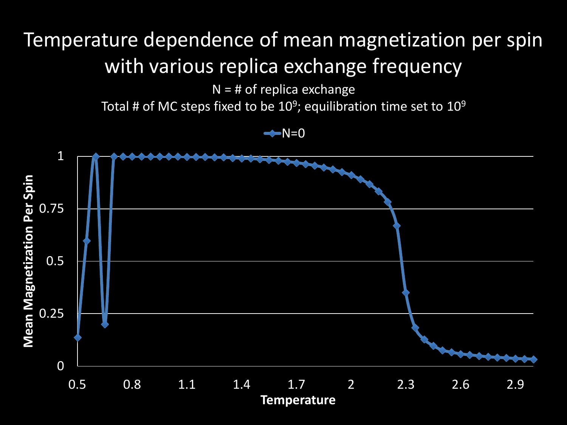$N = #$  of replica exchange

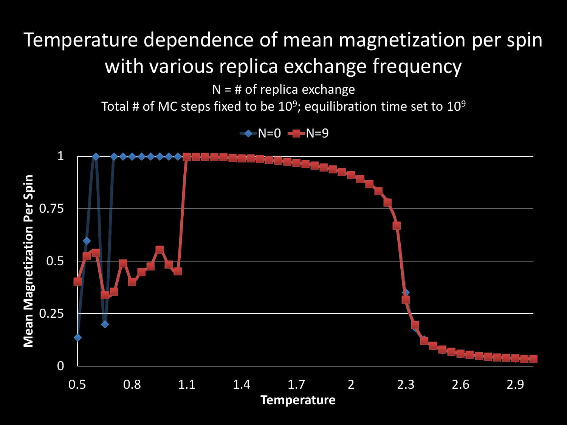$N = #$  of replica exchange

Total # of MC steps fixed to be 10<sup>9</sup>; equilibration time set to 10<sup>9</sup>



 $\rightarrow$  N=0  $\rightarrow$  N=9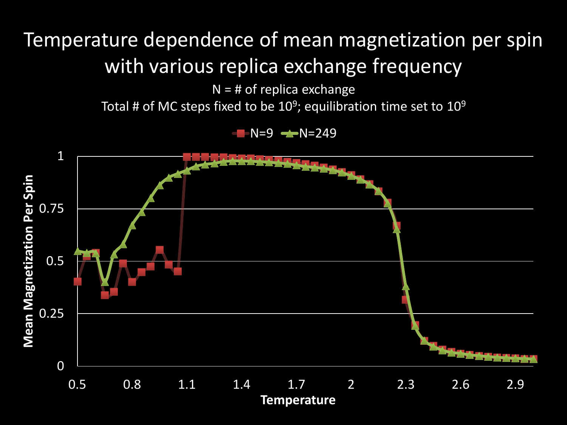$N = #$  of replica exchange

Total # of MC steps fixed to be 10<sup>9</sup>; equilibration time set to 10<sup>9</sup>

 $N=9$   $\rightarrow$   $N=249$ 

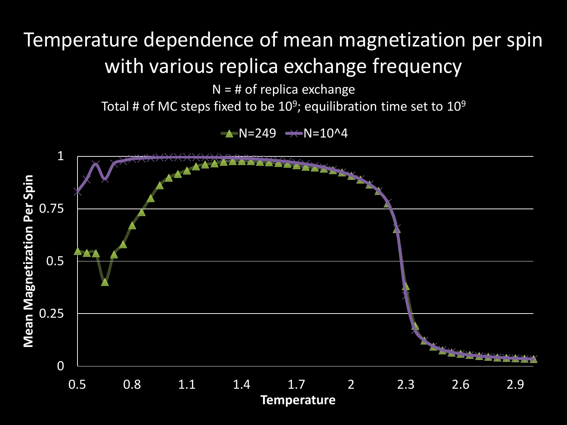$N = #$  of replica exchange

Total # of MC steps fixed to be 10<sup>9</sup>; equilibration time set to 10<sup>9</sup>

 $\rightarrow$  N=249  $\rightarrow$  N=10^4

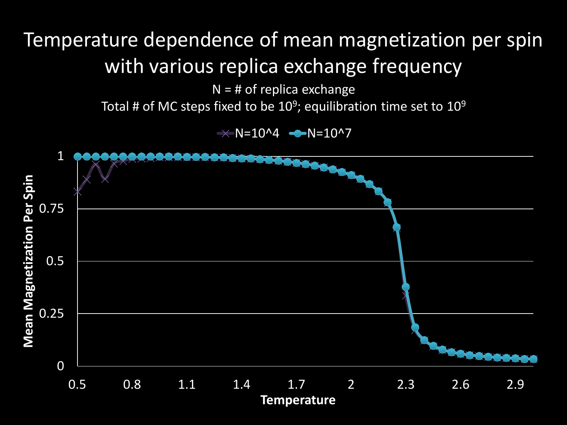$N = #$  of replica exchange

Total # of MC steps fixed to be 10<sup>9</sup>; equilibration time set to 10<sup>9</sup>

 $\rightarrow$  N=10^4  $\rightarrow$  N=10^7

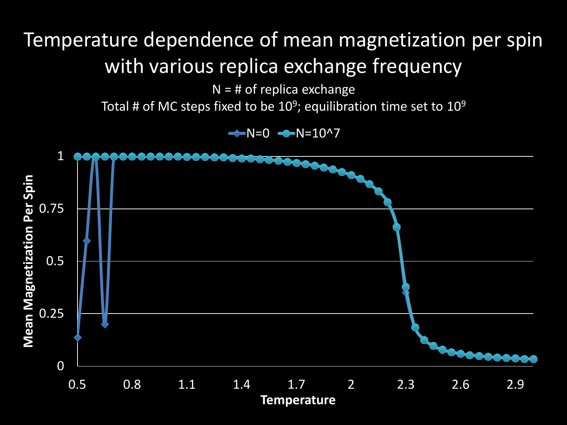$N = #$  of replica exchange

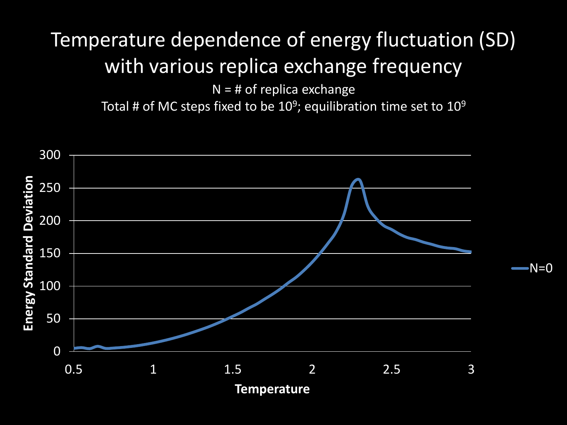#### Temperature dependence of energy fluctuation (SD) with various replica exchange frequency

 $N = #$  of replica exchange

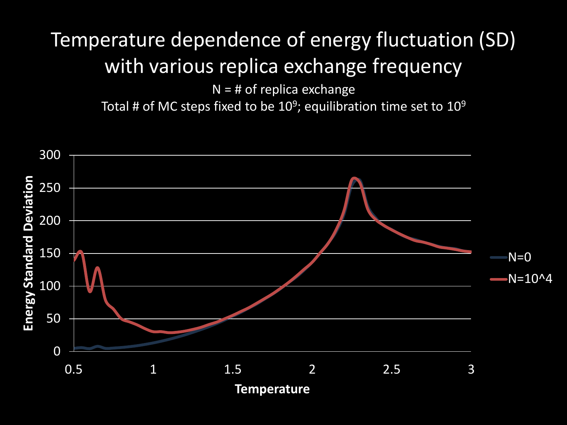#### Temperature dependence of energy fluctuation (SD) with various replica exchange frequency

 $N = #$  of replica exchange

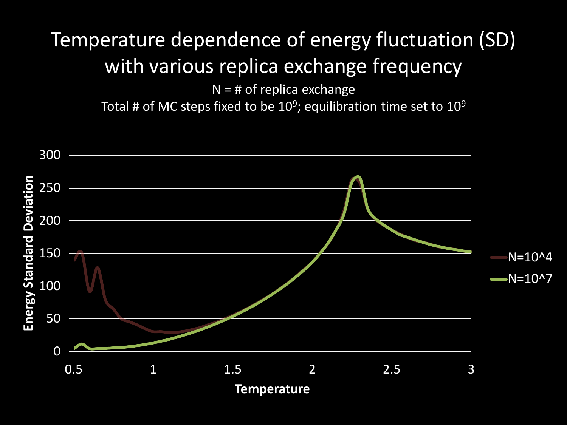#### Temperature dependence of energy fluctuation (SD) with various replica exchange frequency

 $N = #$  of replica exchange

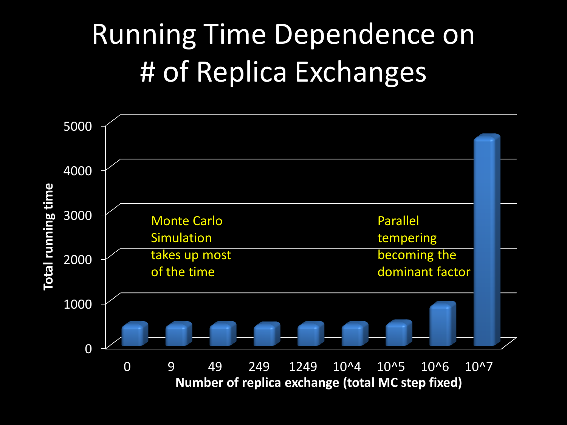## Running Time Dependence on # of Replica Exchanges